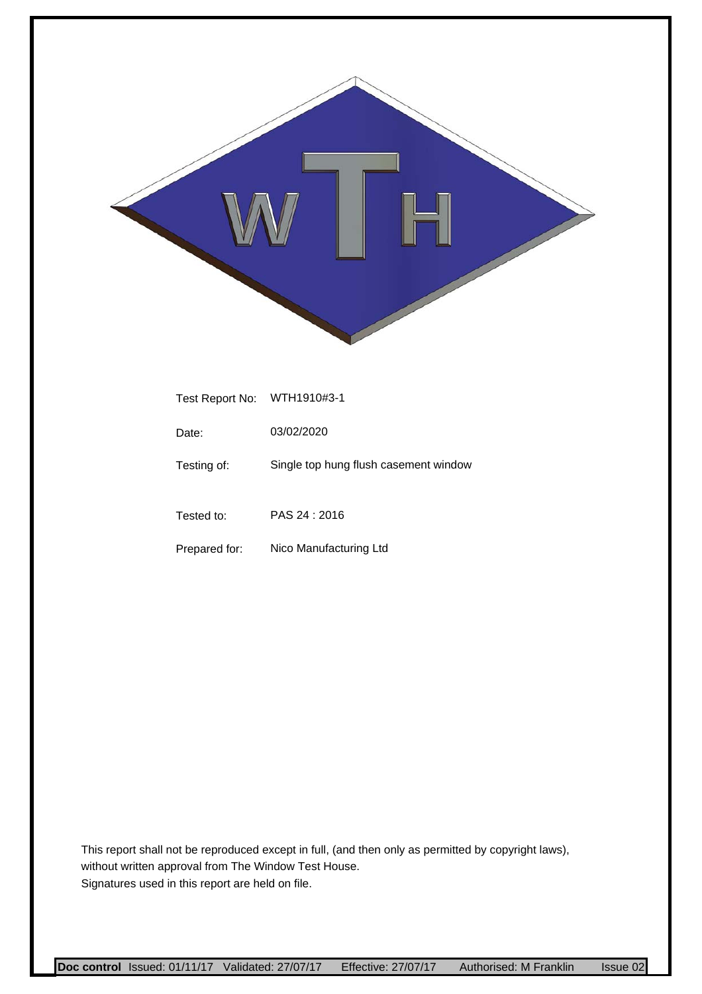

| Test Report No: | WTH1910#3-1                           |
|-----------------|---------------------------------------|
| Date:           | 03/02/2020                            |
| Testing of:     | Single top hung flush casement window |
| Tested to:      | PAS 24: 2016                          |
| Prepared for:   | Nico Manufacturing Ltd                |

This report shall not be reproduced except in full, (and then only as permitted by copyright laws), without written approval from The Window Test House. Signatures used in this report are held on file.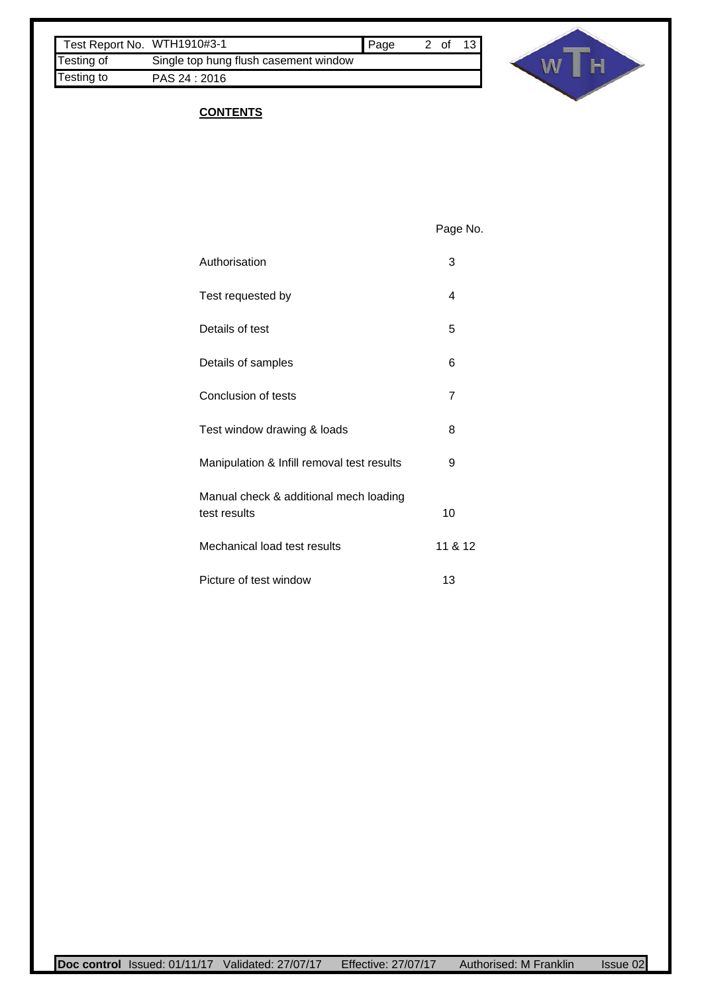| Test Report No. WTH1910#3-1 |                                       | <b>Page</b> | 2 of | 13 <sup>1</sup> |
|-----------------------------|---------------------------------------|-------------|------|-----------------|
| Testing of                  | Single top hung flush casement window |             |      |                 |
| Testing to                  | PAS 24 : 2016                         |             |      |                 |



### **CONTENTS**

Page No.

| Authorisation                                          | 3       |
|--------------------------------------------------------|---------|
| Test requested by                                      | 4       |
| Details of test                                        | 5       |
| Details of samples                                     | 6       |
| Conclusion of tests                                    | 7       |
| Test window drawing & loads                            | 8       |
| Manipulation & Infill removal test results             | 9       |
| Manual check & additional mech loading<br>test results | 10      |
| Mechanical load test results                           | 11 & 12 |
| Picture of test window                                 | 13      |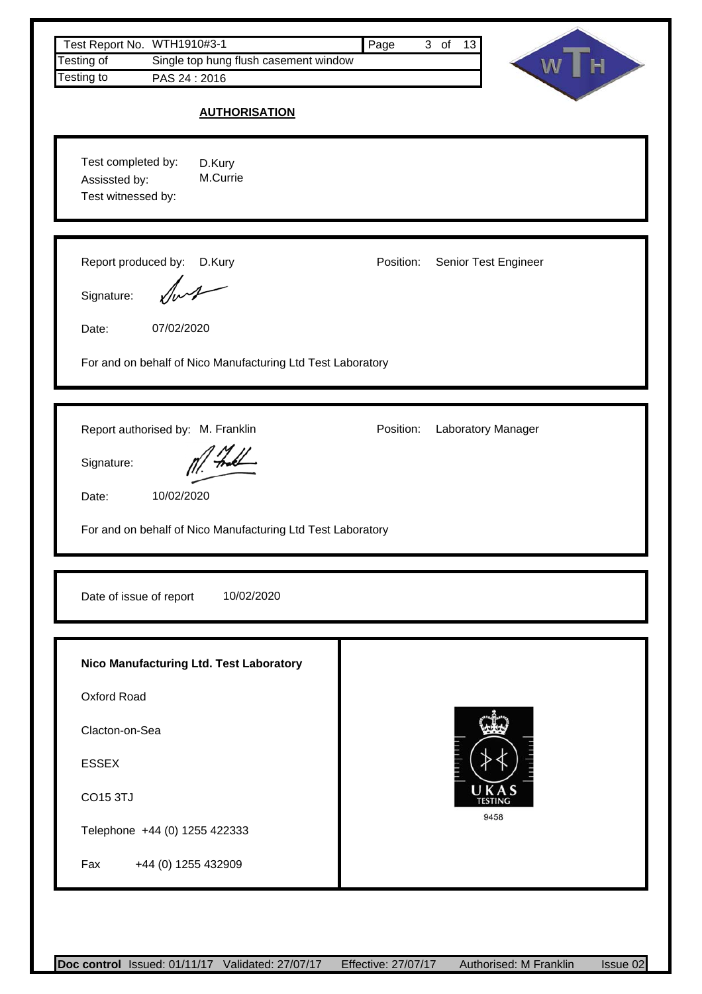| Test Report No. WTH1910#3-1<br>Single top hung flush casement window<br>Testing of<br>Testing to<br>PAS 24:2016<br><b>AUTHORISATION</b>                                    | Page<br>3 of 13                   |
|----------------------------------------------------------------------------------------------------------------------------------------------------------------------------|-----------------------------------|
| Test completed by:<br>D.Kury<br>M.Currie<br>Assissted by:<br>Test witnessed by:                                                                                            |                                   |
| Report produced by: D.Kury<br>Signature:<br>Date:<br>07/02/2020<br>For and on behalf of Nico Manufacturing Ltd Test Laboratory                                             | Position:<br>Senior Test Engineer |
| Report authorised by: M. Franklin<br>Signature:<br>10/02/2020<br>Date:<br>For and on behalf of Nico Manufacturing Ltd Test Laboratory                                      | Position:<br>Laboratory Manager   |
| Date of issue of report<br>10/02/2020                                                                                                                                      |                                   |
| Nico Manufacturing Ltd. Test Laboratory<br>Oxford Road<br>Clacton-on-Sea<br><b>ESSEX</b><br><b>CO15 3TJ</b><br>Telephone +44 (0) 1255 422333<br>+44 (0) 1255 432909<br>Fax | UKAS<br><b>TESTING</b><br>9458    |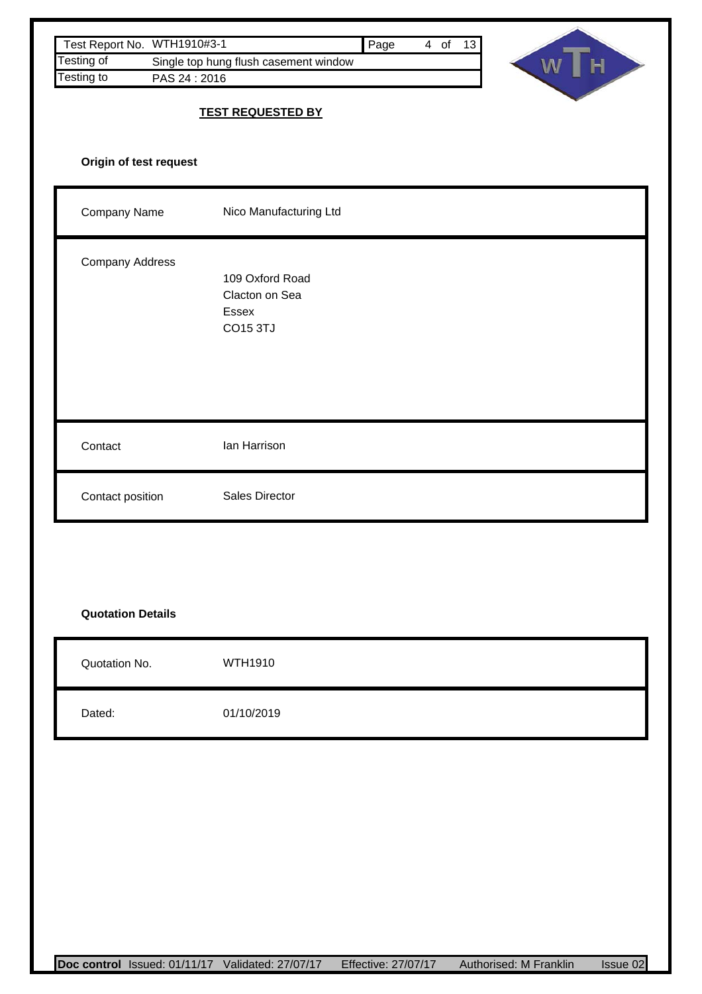| Test Report No. WTH1910#3-1<br>Testing of<br>Testing to<br>PAS 24:2016 | Single top hung flush casement window                         | Page<br>4 of 13 | WT<br>$\bar{H}$ |
|------------------------------------------------------------------------|---------------------------------------------------------------|-----------------|-----------------|
|                                                                        | <b>TEST REQUESTED BY</b>                                      |                 |                 |
| Origin of test request                                                 |                                                               |                 |                 |
| Company Name                                                           | Nico Manufacturing Ltd                                        |                 |                 |
| Company Address                                                        | 109 Oxford Road<br>Clacton on Sea<br>Essex<br><b>CO15 3TJ</b> |                 |                 |
| Contact                                                                | lan Harrison                                                  |                 |                 |
| Contact position                                                       | Sales Director                                                |                 |                 |
|                                                                        |                                                               |                 |                 |
| <b>Quotation Details</b>                                               |                                                               |                 |                 |
| Quotation No.                                                          | WTH1910                                                       |                 |                 |
| Dated:                                                                 | 01/10/2019                                                    |                 |                 |
|                                                                        |                                                               |                 |                 |
|                                                                        |                                                               |                 |                 |
|                                                                        |                                                               |                 |                 |
|                                                                        |                                                               |                 |                 |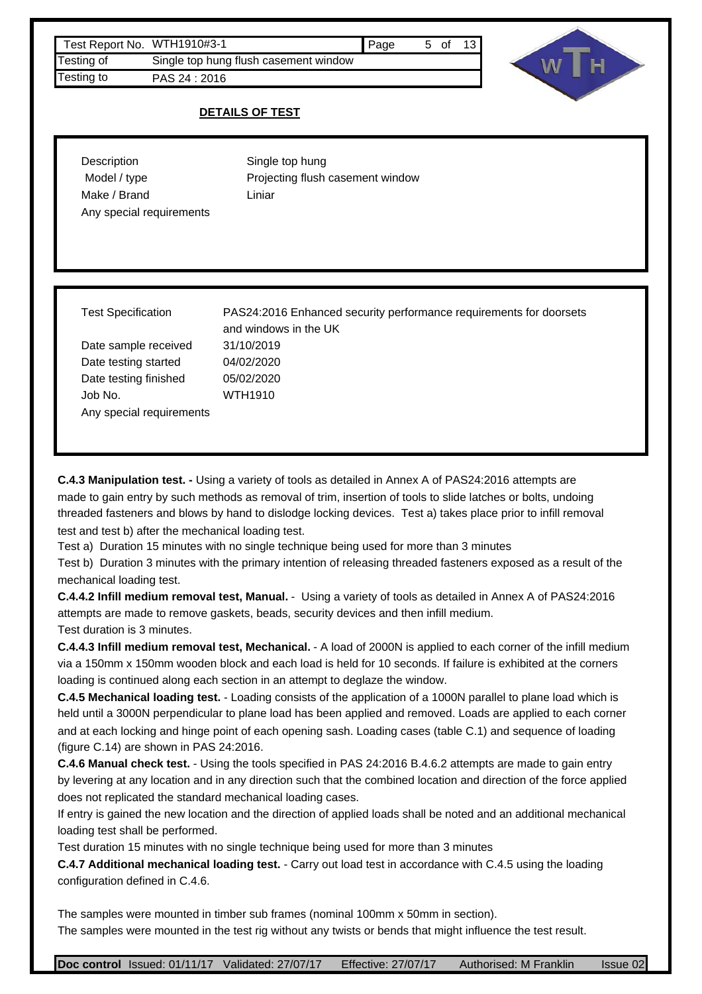

### **DETAILS OF TEST**

| Description              | Single top hung                  |
|--------------------------|----------------------------------|
| Model / type             | Projecting flush casement window |
| Make / Brand             | Liniar                           |
| Any special requirements |                                  |
|                          |                                  |

Date sample received 31/10/2019 Date testing started Date testing finished 05/02/2020 Job No. Any special requirements

Test Specification PAS24:2016 Enhanced security performance requirements for doorsets and windows in the UK 04/02/2020 WTH1910

**C.4.3 Manipulation test. -** Using a variety of tools as detailed in Annex A of PAS24:2016 attempts are made to gain entry by such methods as removal of trim, insertion of tools to slide latches or bolts, undoing threaded fasteners and blows by hand to dislodge locking devices. Test a) takes place prior to infill removal test and test b) after the mechanical loading test.

Test a) Duration 15 minutes with no single technique being used for more than 3 minutes

Test b) Duration 3 minutes with the primary intention of releasing threaded fasteners exposed as a result of the mechanical loading test.

**C.4.4.2 Infill medium removal test, Manual.** - Using a variety of tools as detailed in Annex A of PAS24:2016 attempts are made to remove gaskets, beads, security devices and then infill medium. Test duration is 3 minutes.

**C.4.4.3 Infill medium removal test, Mechanical.** - A load of 2000N is applied to each corner of the infill medium via a 150mm x 150mm wooden block and each load is held for 10 seconds. If failure is exhibited at the corners loading is continued along each section in an attempt to deglaze the window.

**C.4.5 Mechanical loading test.** - Loading consists of the application of a 1000N parallel to plane load which is held until a 3000N perpendicular to plane load has been applied and removed. Loads are applied to each corner and at each locking and hinge point of each opening sash. Loading cases (table C.1) and sequence of loading (figure C.14) are shown in PAS 24:2016.

**C.4.6 Manual check test.** - Using the tools specified in PAS 24:2016 B.4.6.2 attempts are made to gain entry by levering at any location and in any direction such that the combined location and direction of the force applied does not replicated the standard mechanical loading cases.

If entry is gained the new location and the direction of applied loads shall be noted and an additional mechanical loading test shall be performed.

Test duration 15 minutes with no single technique being used for more than 3 minutes

**C.4.7 Additional mechanical loading test.** - Carry out load test in accordance with C.4.5 using the loading configuration defined in C.4.6.

The samples were mounted in timber sub frames (nominal 100mm x 50mm in section). The samples were mounted in the test rig without any twists or bends that might influence the test result.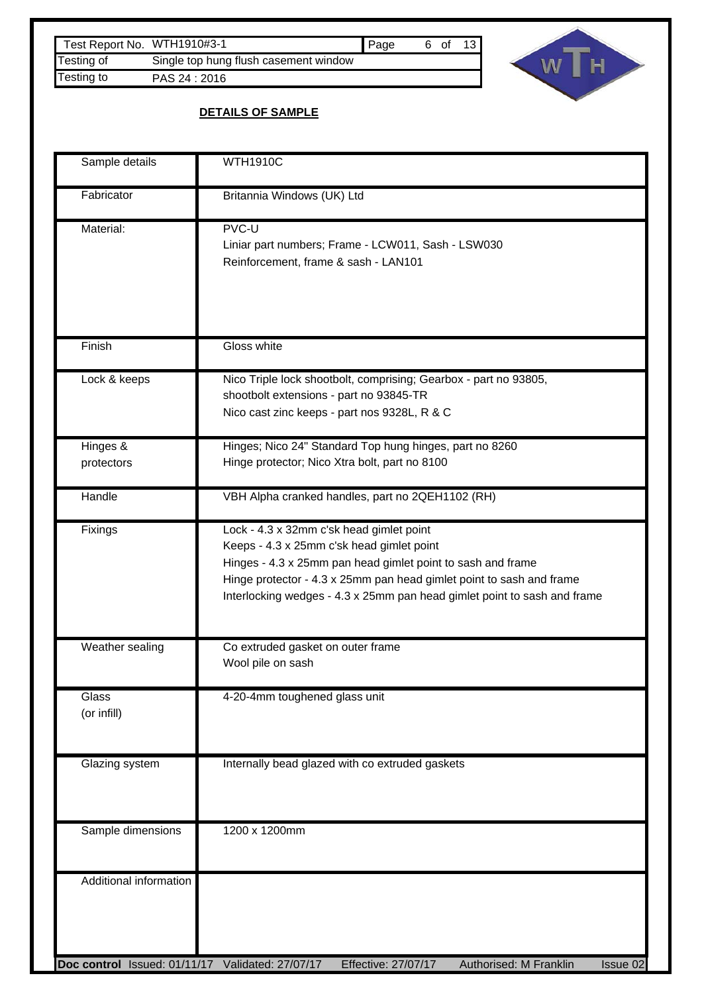| Test Report No. WTH1910#3-1 |                                       | <b>Page</b> | 6 of | 13 |
|-----------------------------|---------------------------------------|-------------|------|----|
| Testing of                  | Single top hung flush casement window |             |      |    |
| Testing to                  | PAS 24 : 2016                         |             |      |    |



# **DETAILS OF SAMPLE**

| Sample details                                         | <b>WTH1910C</b>                                                                                                                                                                                                                                                                                          |
|--------------------------------------------------------|----------------------------------------------------------------------------------------------------------------------------------------------------------------------------------------------------------------------------------------------------------------------------------------------------------|
| Fabricator                                             | Britannia Windows (UK) Ltd                                                                                                                                                                                                                                                                               |
| Material:                                              | PVC-U<br>Liniar part numbers; Frame - LCW011, Sash - LSW030<br>Reinforcement, frame & sash - LAN101                                                                                                                                                                                                      |
| Finish                                                 | Gloss white                                                                                                                                                                                                                                                                                              |
| Lock & keeps                                           | Nico Triple lock shootbolt, comprising; Gearbox - part no 93805,<br>shootbolt extensions - part no 93845-TR<br>Nico cast zinc keeps - part nos 9328L, R & C                                                                                                                                              |
| Hinges &<br>protectors                                 | Hinges; Nico 24" Standard Top hung hinges, part no 8260<br>Hinge protector; Nico Xtra bolt, part no 8100                                                                                                                                                                                                 |
| Handle                                                 | VBH Alpha cranked handles, part no 2QEH1102 (RH)                                                                                                                                                                                                                                                         |
| Fixings                                                | Lock - 4.3 x 32mm c'sk head gimlet point<br>Keeps - 4.3 x 25mm c'sk head gimlet point<br>Hinges - 4.3 x 25mm pan head gimlet point to sash and frame<br>Hinge protector - 4.3 x 25mm pan head gimlet point to sash and frame<br>Interlocking wedges - 4.3 x 25mm pan head gimlet point to sash and frame |
| Weather sealing                                        | Co extruded gasket on outer frame<br>Wool pile on sash                                                                                                                                                                                                                                                   |
| Glass<br>(or infill)                                   | 4-20-4mm toughened glass unit                                                                                                                                                                                                                                                                            |
| Glazing system                                         | Internally bead glazed with co extruded gaskets                                                                                                                                                                                                                                                          |
| Sample dimensions                                      | 1200 x 1200mm                                                                                                                                                                                                                                                                                            |
| Additional information<br>Doc control Issued: 01/11/17 | Validated: 27/07/17<br>Effective: 27/07/17<br>Authorised: M Franklin<br>Issue 02                                                                                                                                                                                                                         |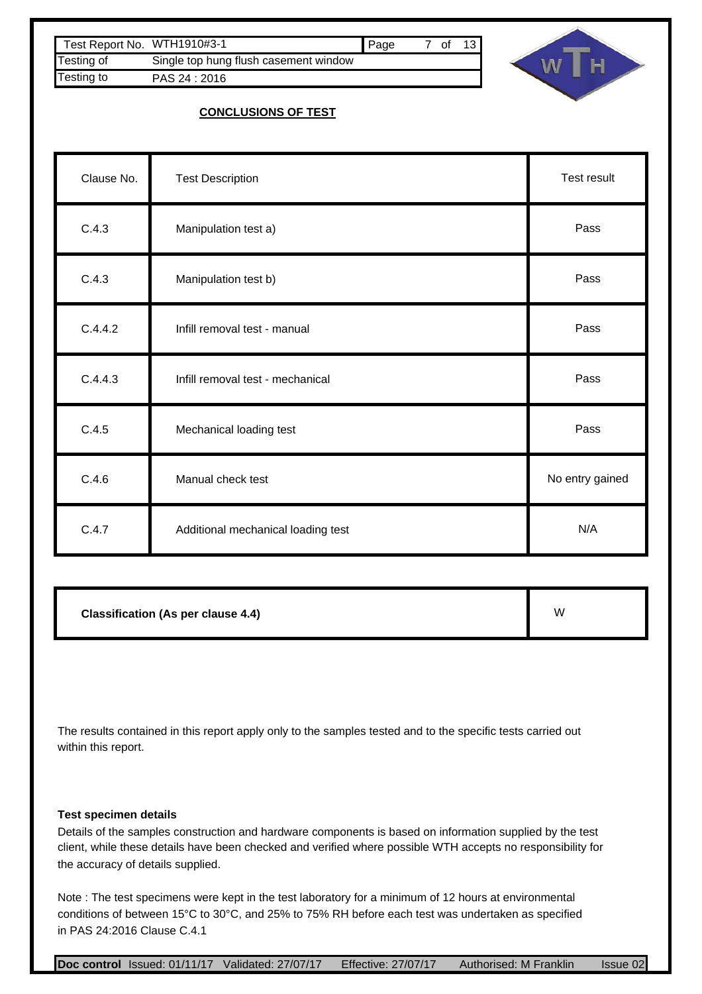| Test Report No. WTH1910#3-1 |                                       | <b>Page</b> | 7 of | 13 <sup>1</sup> |
|-----------------------------|---------------------------------------|-------------|------|-----------------|
| <b>Testing of</b>           | Single top hung flush casement window |             |      |                 |
| Testing to                  | PAS 24: 2016                          |             |      |                 |



### **CONCLUSIONS OF TEST**

| Clause No. | <b>Test Description</b>            | Test result     |
|------------|------------------------------------|-----------------|
| C.4.3      | Manipulation test a)               | Pass            |
| C.4.3      | Manipulation test b)               | Pass            |
| C.4.4.2    | Infill removal test - manual       | Pass            |
| C.4.4.3    | Infill removal test - mechanical   | Pass            |
| C.4.5      | Mechanical loading test            | Pass            |
| C.4.6      | Manual check test                  | No entry gained |
| C.4.7      | Additional mechanical loading test | N/A             |

**Classification (As per clause 4.4)**

W

The results contained in this report apply only to the samples tested and to the specific tests carried out within this report.

#### **Test specimen details**

Details of the samples construction and hardware components is based on information supplied by the test client, while these details have been checked and verified where possible WTH accepts no responsibility for the accuracy of details supplied.

Note : The test specimens were kept in the test laboratory for a minimum of 12 hours at environmental conditions of between 15°C to 30°C, and 25% to 75% RH before each test was undertaken as specified in PAS 24:2016 Clause C.4.1

**Doc control** Issued: 01/11/17 Validated: 27/07/17 Effective: 27/07/17 Authorised: M Franklin Issue 02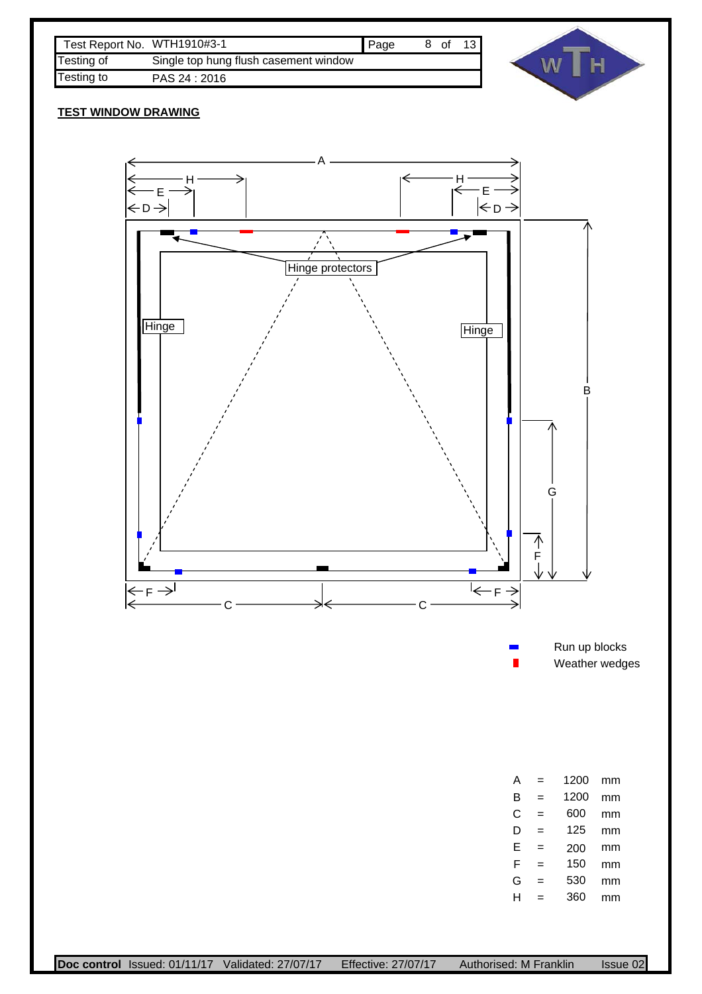| Test Report No. WTH1910#3-1 |                                       | Page | 8 of | 13 $\blacksquare$ |
|-----------------------------|---------------------------------------|------|------|-------------------|
| Testing of                  | Single top hung flush casement window |      |      |                   |
| Testing to                  | PAS 24 : 2016                         |      |      |                   |



### **TEST WINDOW DRAWING**

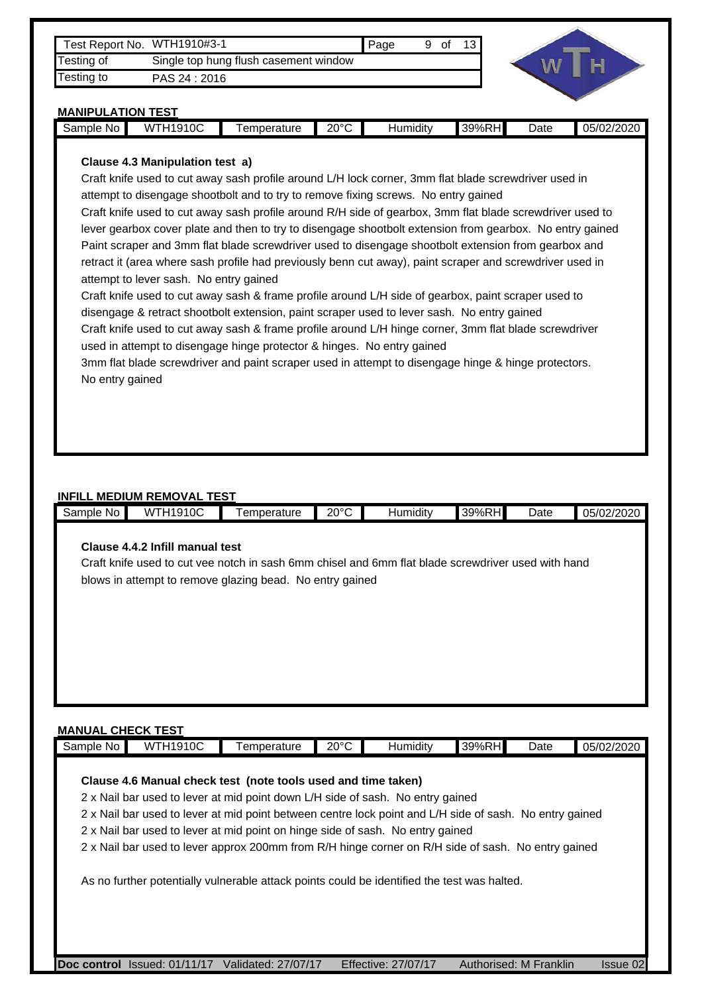| Test Report No. WTH1910#3-1 |                                       | <b>I</b> Paqe | of | 13 I |
|-----------------------------|---------------------------------------|---------------|----|------|
| Testing of                  | Single top hung flush casement window |               |    |      |
| Testing to                  | PAS 24 : 2016                         |               |    |      |



#### **MANIPULATION TEST**

| Sample<br>NΩ | 10C<br>.14 <sub>0</sub><br>w<br>. | emperature | ຳ∩∘∕<br>- - | . .<br>Humidity | $\overline{\phantom{a}}$<br>RHI<br>300 <sub>l</sub><br>$\gamma$ or.<br>ບວ | Date<br>. | ს5/02/202Ր |
|--------------|-----------------------------------|------------|-------------|-----------------|---------------------------------------------------------------------------|-----------|------------|
|              |                                   |            |             |                 |                                                                           |           |            |

#### **Clause 4.3 Manipulation test a)**

Craft knife used to cut away sash profile around L/H lock corner, 3mm flat blade screwdriver used in attempt to disengage shootbolt and to try to remove fixing screws. No entry gained

Craft knife used to cut away sash profile around R/H side of gearbox, 3mm flat blade screwdriver used to lever gearbox cover plate and then to try to disengage shootbolt extension from gearbox. No entry gained Paint scraper and 3mm flat blade screwdriver used to disengage shootbolt extension from gearbox and retract it (area where sash profile had previously benn cut away), paint scraper and screwdriver used in attempt to lever sash. No entry gained

Craft knife used to cut away sash & frame profile around L/H side of gearbox, paint scraper used to disengage & retract shootbolt extension, paint scraper used to lever sash. No entry gained Craft knife used to cut away sash & frame profile around L/H hinge corner, 3mm flat blade screwdriver used in attempt to disengage hinge protector & hinges. No entry gained

3mm flat blade screwdriver and paint scraper used in attempt to disengage hinge & hinge protectors. No entry gained

#### **INFILL MEDIUM REMOVAL TEST**

| Sample No | <b>WTH1910C</b>                 | Temperature                                                                                        | $20^{\circ}$ C | Humidity | 39%RH | Date | 05/02/2020 |
|-----------|---------------------------------|----------------------------------------------------------------------------------------------------|----------------|----------|-------|------|------------|
|           |                                 |                                                                                                    |                |          |       |      |            |
|           | Clause 4.4.2 Infill manual test |                                                                                                    |                |          |       |      |            |
|           |                                 | Craft knife used to cut vee notch in sash 6mm chisel and 6mm flat blade screwdriver used with hand |                |          |       |      |            |
|           |                                 | blows in attempt to remove glazing bead. No entry gained                                           |                |          |       |      |            |
|           |                                 |                                                                                                    |                |          |       |      |            |
|           |                                 |                                                                                                    |                |          |       |      |            |
|           |                                 |                                                                                                    |                |          |       |      |            |
|           |                                 |                                                                                                    |                |          |       |      |            |
|           |                                 |                                                                                                    |                |          |       |      |            |
|           |                                 |                                                                                                    |                |          |       |      |            |
|           |                                 |                                                                                                    |                |          |       |      |            |
|           |                                 |                                                                                                    |                |          |       |      |            |

#### **MANUAL CHECK TEST**

|  |  | Clause 4.6 Manual check test (note tools used and time taken) | 2 x Nail bar used to lever at mid point down L/H side of sash. No entry gained<br>2 x Nail bar used to lever at mid point on hinge side of sash. No entry gained | 2 x Nail bar used to lever at mid point between centre lock point and L/H side of sash. No entry gained<br>2 x Nail bar used to lever approx 200mm from R/H hinge corner on R/H side of sash. No entry gained<br>As no further potentially vulnerable attack points could be identified the test was halted. |
|--|--|---------------------------------------------------------------|------------------------------------------------------------------------------------------------------------------------------------------------------------------|--------------------------------------------------------------------------------------------------------------------------------------------------------------------------------------------------------------------------------------------------------------------------------------------------------------|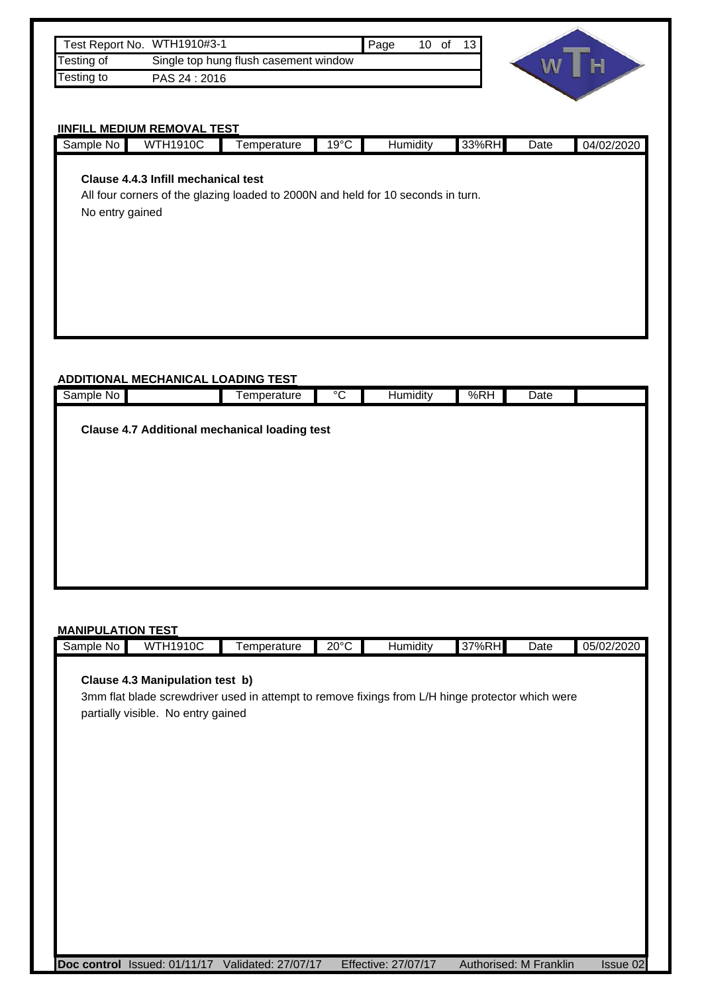| Test Report No. WTH1910#3-1 |                                       | <b>Page</b> | 10 of | 13 |
|-----------------------------|---------------------------------------|-------------|-------|----|
| <b>Testing of</b>           | Single top hung flush casement window |             |       |    |
| <b>Testing to</b>           | PAS 24 : 2016                         |             |       |    |



# **IINFILL MEDIUM REMOVAL TEST**

|                 | <b>IINFILL MEDIUM REMOVAL TEST</b>        |                                                                                  |                |          |       |      |            |
|-----------------|-------------------------------------------|----------------------------------------------------------------------------------|----------------|----------|-------|------|------------|
| Sample No       | <b>WTH1910C</b>                           | Temperature                                                                      | $19^{\circ}$ C | Humidity | 33%RH | Date | 04/02/2020 |
| No entry gained | Clause 4.4.3 Infill mechanical test       | All four corners of the glazing loaded to 2000N and held for 10 seconds in turn. |                |          |       |      |            |
|                 | <b>ADDITIONAL MECHANICAL LOADING TEST</b> |                                                                                  |                |          |       |      |            |
| Sample No       |                                           | Temperature                                                                      | $\overline{C}$ | Humidity | %RH   | Date |            |
|                 |                                           | <b>Clause 4.7 Additional mechanical loading test</b>                             |                |          |       |      |            |

#### **MANIPULATION TEST**

| Sample<br>NC | 1910C<br>w<br>.<br>- | emperature | ว∩∘∩<br>∠∪<br>. . | .<br>Humiditv | 37%RH | Date | 05/02/2020<br>IUZIZUZU<br>יש |
|--------------|----------------------|------------|-------------------|---------------|-------|------|------------------------------|
|              |                      |            |                   |               |       |      |                              |
|              |                      |            |                   |               |       |      |                              |

### **Clause 4.3 Manipulation test b)**

3mm flat blade screwdriver used in attempt to remove fixings from L/H hinge protector which were partially visible. No entry gained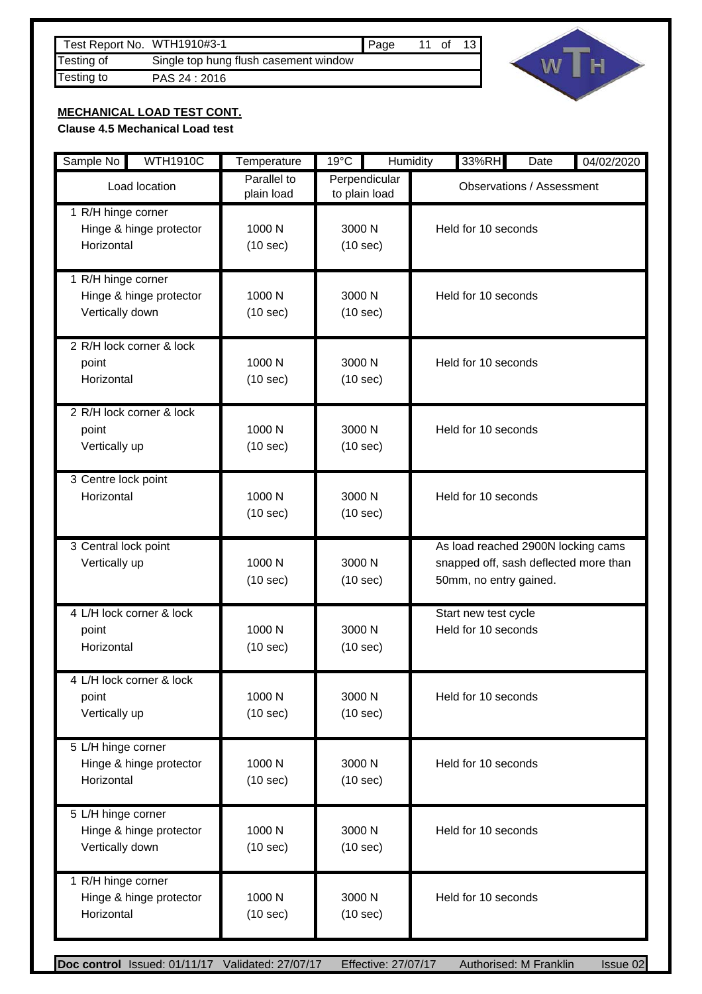| Test Report No. WTH1910#3-1 |                                       | <b>  Page</b> | 11 of |  |
|-----------------------------|---------------------------------------|---------------|-------|--|
| Testing of                  | Single top hung flush casement window |               |       |  |
| Testing to                  | PAS 24:2016                           |               |       |  |
|                             |                                       |               |       |  |



# **MECHANICAL LOAD TEST CONT.**

**Clause 4.5 Mechanical Load test**

| Sample No<br><b>WTH1910C</b>                                     | Temperature               | $19^{\circ}$ C                 | Humidity<br>33%RH<br>Date<br>04/02/2020                                                               |
|------------------------------------------------------------------|---------------------------|--------------------------------|-------------------------------------------------------------------------------------------------------|
| Load location                                                    | Parallel to<br>plain load | Perpendicular<br>to plain load | <b>Observations / Assessment</b>                                                                      |
| 1 R/H hinge corner<br>Hinge & hinge protector<br>Horizontal      | 1000 N<br>(10 sec)        | 3000 N<br>(10 sec)             | Held for 10 seconds                                                                                   |
| 1 R/H hinge corner<br>Hinge & hinge protector<br>Vertically down | 1000 N<br>(10 sec)        | 3000 N<br>(10 sec)             | Held for 10 seconds                                                                                   |
| 2 R/H lock corner & lock<br>point<br>Horizontal                  | 1000 N<br>(10 sec)        | 3000 N<br>(10 sec)             | Held for 10 seconds                                                                                   |
| 2 R/H lock corner & lock<br>point<br>Vertically up               | 1000 N<br>(10 sec)        | 3000 N<br>(10 sec)             | Held for 10 seconds                                                                                   |
| 3 Centre lock point<br>Horizontal                                | 1000 N<br>(10 sec)        | 3000 N<br>(10 sec)             | Held for 10 seconds                                                                                   |
| 3 Central lock point<br>Vertically up                            | 1000 N<br>(10 sec)        | 3000 N<br>(10 sec)             | As load reached 2900N locking cams<br>snapped off, sash deflected more than<br>50mm, no entry gained. |
| 4 L/H lock corner & lock<br>point<br>Horizontal                  | 1000 N<br>(10 sec)        | 3000 N<br>(10 sec)             | Start new test cycle<br>Held for 10 seconds                                                           |
| 4 L/H lock corner & lock<br>point<br>Vertically up               | 1000 N<br>(10 sec)        | 3000 N<br>(10 sec)             | Held for 10 seconds                                                                                   |
| 5 L/H hinge corner<br>Hinge & hinge protector<br>Horizontal      | 1000 N<br>(10 sec)        | 3000 N<br>(10 sec)             | Held for 10 seconds                                                                                   |
| 5 L/H hinge corner<br>Hinge & hinge protector<br>Vertically down | 1000 N<br>(10 sec)        | 3000 N<br>(10 sec)             | Held for 10 seconds                                                                                   |
| 1 R/H hinge corner<br>Hinge & hinge protector<br>Horizontal      | 1000 N<br>(10 sec)        | 3000 N<br>(10 sec)             | Held for 10 seconds                                                                                   |
| Doc control Issued: 01/11/17 Validated: 27/07/17                 |                           | Effective: 27/07/17            | Authorised: M Franklin<br>Issue 02                                                                    |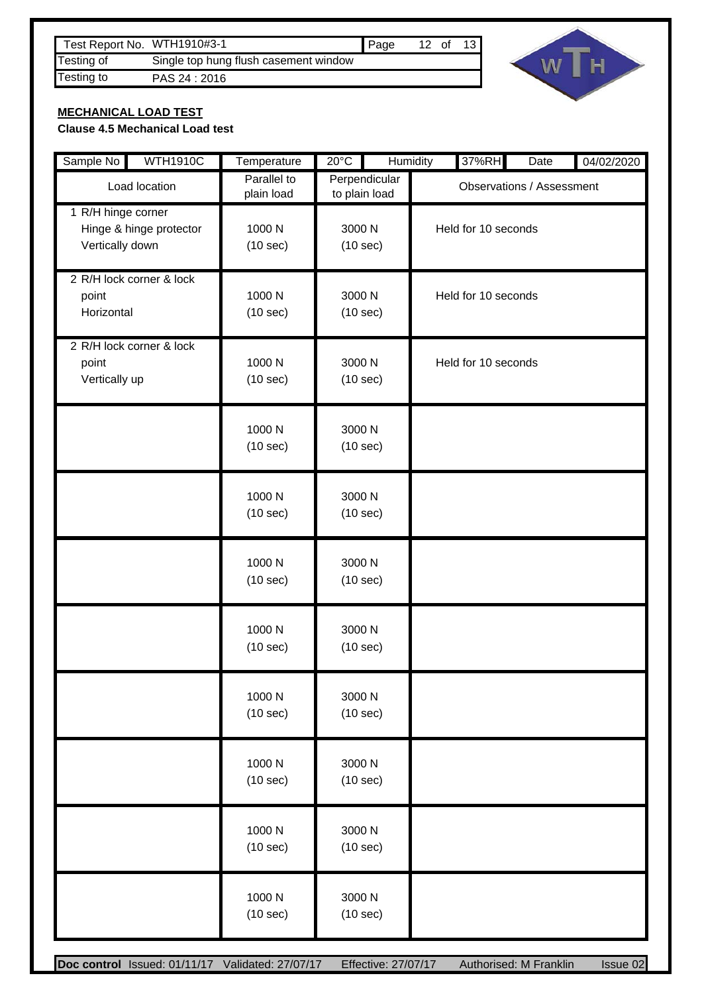| Test Report No. WTH1910#3-1 |                                       | <b>I</b> Page | $12$ of | 13 <sub>1</sub> |
|-----------------------------|---------------------------------------|---------------|---------|-----------------|
| Testing of                  | Single top hung flush casement window |               |         |                 |
| Testing to                  | PAS 24 : 2016                         |               |         |                 |
|                             |                                       |               |         |                 |



## **MECHANICAL LOAD TEST**

### **Clause 4.5 Mechanical Load test**

| <b>WTH1910C</b><br>Sample No                                     | Temperature               | $20^{\circ}$ C                 | Humidity<br>37%RH   | Date                             | 04/02/2020 |  |
|------------------------------------------------------------------|---------------------------|--------------------------------|---------------------|----------------------------------|------------|--|
| Load location                                                    | Parallel to<br>plain load | Perpendicular<br>to plain load |                     | <b>Observations / Assessment</b> |            |  |
| 1 R/H hinge corner<br>Hinge & hinge protector<br>Vertically down | 1000 N<br>(10 sec)        | 3000 N<br>(10 sec)             |                     | Held for 10 seconds              |            |  |
| 2 R/H lock corner & lock<br>point<br>Horizontal                  | 1000 N<br>(10 sec)        | 3000 N<br>(10 sec)             | Held for 10 seconds |                                  |            |  |
| 2 R/H lock corner & lock<br>point<br>Vertically up               | 1000 N<br>(10 sec)        | 3000 N<br>(10 sec)             | Held for 10 seconds |                                  |            |  |
|                                                                  | 1000 N<br>(10 sec)        | 3000 N<br>(10 sec)             |                     |                                  |            |  |
|                                                                  | 1000 N<br>(10 sec)        | 3000 N<br>(10 sec)             |                     |                                  |            |  |
|                                                                  | 1000 N<br>(10 sec)        | 3000 N<br>(10 sec)             |                     |                                  |            |  |
|                                                                  | 1000 N<br>(10 sec)        | 3000 N<br>(10 sec)             |                     |                                  |            |  |
|                                                                  | 1000 N<br>(10 sec)        | 3000 N<br>(10 sec)             |                     |                                  |            |  |
|                                                                  | 1000 N<br>(10 sec)        | 3000 N<br>(10 sec)             |                     |                                  |            |  |
|                                                                  | 1000N<br>(10 sec)         | 3000 N<br>(10 sec)             |                     |                                  |            |  |
|                                                                  | 1000 N<br>(10 sec)        | 3000 N<br>(10 sec)             |                     |                                  |            |  |
| Doc control Issued: 01/11/17 Validated: 27/07/17                 |                           | Effective: 27/07/17            |                     | Authorised: M Franklin           | Issue 02   |  |